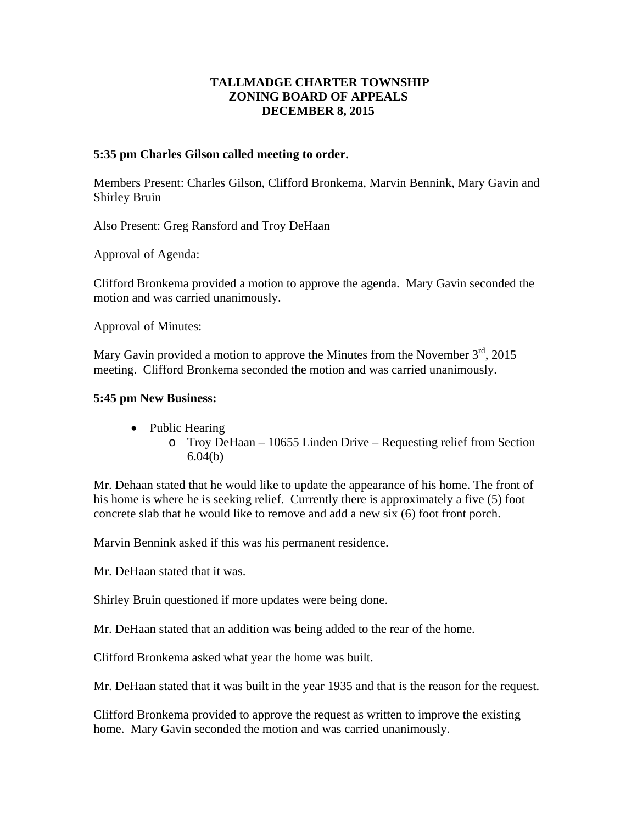## **TALLMADGE CHARTER TOWNSHIP ZONING BOARD OF APPEALS DECEMBER 8, 2015**

## **5:35 pm Charles Gilson called meeting to order.**

Members Present: Charles Gilson, Clifford Bronkema, Marvin Bennink, Mary Gavin and Shirley Bruin

Also Present: Greg Ransford and Troy DeHaan

Approval of Agenda:

Clifford Bronkema provided a motion to approve the agenda. Mary Gavin seconded the motion and was carried unanimously.

Approval of Minutes:

Mary Gavin provided a motion to approve the Minutes from the November  $3<sup>rd</sup>$ , 2015 meeting. Clifford Bronkema seconded the motion and was carried unanimously.

## **5:45 pm New Business:**

- Public Hearing
	- o Troy DeHaan 10655 Linden Drive Requesting relief from Section 6.04(b)

Mr. Dehaan stated that he would like to update the appearance of his home. The front of his home is where he is seeking relief. Currently there is approximately a five (5) foot concrete slab that he would like to remove and add a new six (6) foot front porch.

Marvin Bennink asked if this was his permanent residence.

Mr. DeHaan stated that it was.

Shirley Bruin questioned if more updates were being done.

Mr. DeHaan stated that an addition was being added to the rear of the home.

Clifford Bronkema asked what year the home was built.

Mr. DeHaan stated that it was built in the year 1935 and that is the reason for the request.

Clifford Bronkema provided to approve the request as written to improve the existing home. Mary Gavin seconded the motion and was carried unanimously.